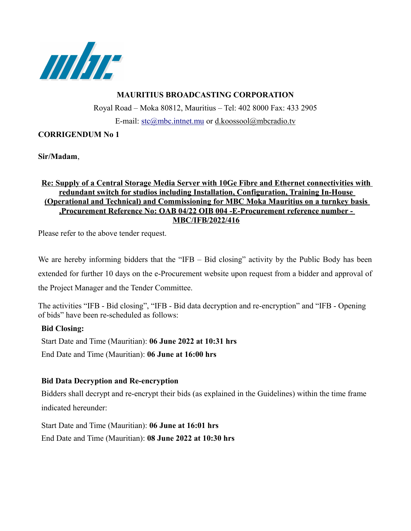

# **MAURITIUS BROADCASTING CORPORATION**

Royal Road – Moka 80812, Mauritius – Tel: 402 8000 Fax: 433 2905 E-mail: [stc@mbc.intnet.mu](mailto:stc@mbc.intnet.mu) or d.koossool@mbcradio.tv

## **CORRIGENDUM No 1**

**Sir/Madam**,

### **Re: Supply of a Central Storage Media Server with 10Ge Fibre and Ethernet connectivities with redundant switch for studios including Installation, Configuration, Training In-House (Operational and Technical) and Commissioning for MBC Moka Mauritius on a turnkey basis ,Procurement Reference No: OAB 04/22 OIB 004 -E-Procurement reference number - MBC/IFB/2022/416**

Please refer to the above tender request.

We are hereby informing bidders that the "IFB – Bid closing" activity by the Public Body has been extended for further 10 days on the e-Procurement website upon request from a bidder and approval of the Project Manager and the Tender Committee.

The activities "IFB - Bid closing", "IFB - Bid data decryption and re-encryption" and "IFB - Opening of bids" have been re-scheduled as follows:

## **Bid Closing:**

Start Date and Time (Mauritian): **06 June 2022 at 10:31 hrs** End Date and Time (Mauritian): **06 June at 16:00 hrs** 

## **Bid Data Decryption and Re-encryption**

Bidders shall decrypt and re-encrypt their bids (as explained in the Guidelines) within the time frame indicated hereunder:

Start Date and Time (Mauritian): **06 June at 16:01 hrs** End Date and Time (Mauritian): **08 June 2022 at 10:30 hrs**